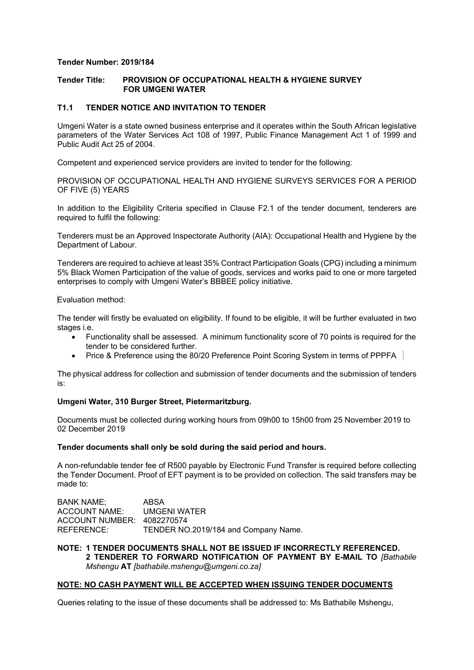## **Tender Number: 2019/184**

# **Tender Title: PROVISION OF OCCUPATIONAL HEALTH & HYGIENE SURVEY FOR UMGENI WATER**

# **T1.1 TENDER NOTICE AND INVITATION TO TENDER**

Umgeni Water is a state owned business enterprise and it operates within the South African legislative parameters of the Water Services Act 108 of 1997, Public Finance Management Act 1 of 1999 and Public Audit Act 25 of 2004.

Competent and experienced service providers are invited to tender for the following:

PROVISION OF OCCUPATIONAL HEALTH AND HYGIENE SURVEYS SERVICES FOR A PERIOD OF FIVE (5) YEARS

In addition to the Eligibility Criteria specified in Clause F2.1 of the tender document, tenderers are required to fulfil the following:

Tenderers must be an Approved Inspectorate Authority (AIA): Occupational Health and Hygiene by the Department of Labour.

Tenderers are required to achieve at least 35% Contract Participation Goals (CPG) including a minimum 5% Black Women Participation of the value of goods, services and works paid to one or more targeted enterprises to comply with Umgeni Water's BBBEE policy initiative.

#### Evaluation method:

The tender will firstly be evaluated on eligibility. If found to be eligible, it will be further evaluated in two stages i.e.

- Functionality shall be assessed. A minimum functionality score of 70 points is required for the tender to be considered further.
- Price & Preference using the 80/20 Preference Point Scoring System in terms of PPPFA

The physical address for collection and submission of tender documents and the submission of tenders is:

#### **Umgeni Water, 310 Burger Street, Pietermaritzburg.**

Documents must be collected during working hours from 09h00 to 15h00 from 25 November 2019 to 02 December 2019

#### **Tender documents shall only be sold during the said period and hours.**

A non-refundable tender fee of R500 payable by Electronic Fund Transfer is required before collecting the Tender Document. Proof of EFT payment is to be provided on collection. The said transfers may be made to:

BANK NAME; ABSA ACCOUNT NAME: UMGENI WATER ACCOUNT NUMBER: 4082270574 REFERENCE: TENDER NO.2019/184 and Company Name.

## **NOTE: 1 TENDER DOCUMENTS SHALL NOT BE ISSUED IF INCORRECTLY REFERENCED. 2 TENDERER TO FORWARD NOTIFICATION OF PAYMENT BY E-MAIL TO** *[Bathabile Mshengu* **AT** *[bathabile.mshengu@umgeni.co.za]*

#### **NOTE: NO CASH PAYMENT WILL BE ACCEPTED WHEN ISSUING TENDER DOCUMENTS**

Queries relating to the issue of these documents shall be addressed to: Ms Bathabile Mshengu,